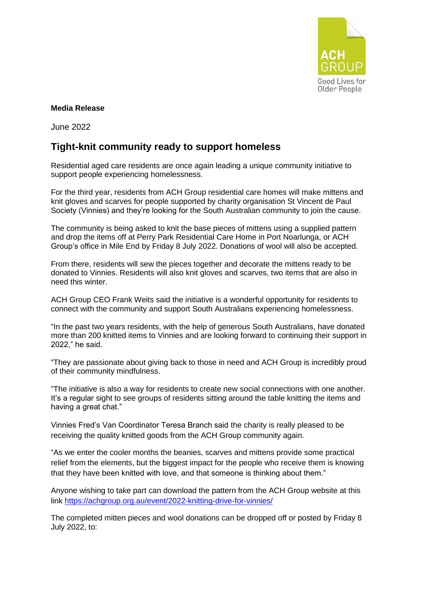

## **Media Release**

June 2022

## **Tight-knit community ready to support homeless**

Residential aged care residents are once again leading a unique community initiative to support people experiencing homelessness.

For the third year, residents from ACH Group residential care homes will make mittens and knit gloves and scarves for people supported by charity organisation St Vincent de Paul Society (Vinnies) and they're looking for the South Australian community to join the cause.

The community is being asked to knit the base pieces of mittens using a supplied pattern and drop the items off at Perry Park Residential Care Home in Port Noarlunga, or ACH Group's office in Mile End by Friday 8 July 2022. Donations of wool will also be accepted.

From there, residents will sew the pieces together and decorate the mittens ready to be donated to Vinnies. Residents will also knit gloves and scarves, two items that are also in need this winter.

ACH Group CEO Frank Weits said the initiative is a wonderful opportunity for residents to connect with the community and support South Australians experiencing homelessness.

"In the past two years residents, with the help of generous South Australians, have donated more than 200 knitted items to Vinnies and are looking forward to continuing their support in 2022," he said.

"They are passionate about giving back to those in need and ACH Group is incredibly proud of their community mindfulness.

"The initiative is also a way for residents to create new social connections with one another. It's a regular sight to see groups of residents sitting around the table knitting the items and having a great chat."

Vinnies Fred's Van Coordinator Teresa Branch said the charity is really pleased to be receiving the quality knitted goods from the ACH Group community again.

"As we enter the cooler months the beanies, scarves and mittens provide some practical relief from the elements, but the biggest impact for the people who receive them is knowing that they have been knitted with love, and that someone is thinking about them."

Anyone wishing to take part can download the pattern from the ACH Group website at this link <https://achgroup.org.au/event/2022-knitting-drive-for-vinnies/>

The completed mitten pieces and wool donations can be dropped off or posted by Friday 8 July 2022, to: